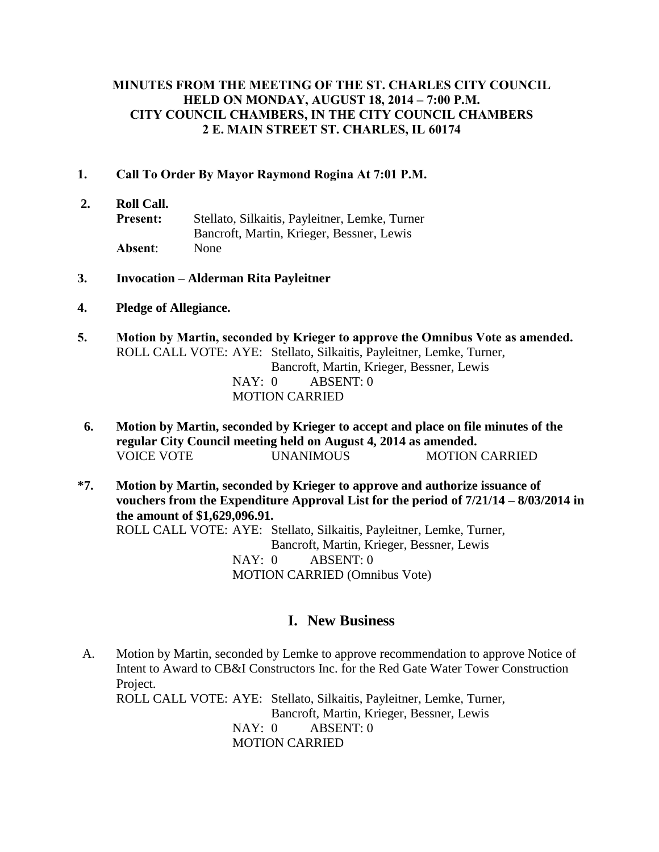#### **MINUTES FROM THE MEETING OF THE ST. CHARLES CITY COUNCIL HELD ON MONDAY, AUGUST 18, 2014 – 7:00 P.M. CITY COUNCIL CHAMBERS, IN THE CITY COUNCIL CHAMBERS 2 E. MAIN STREET ST. CHARLES, IL 60174**

- **1. Call To Order By Mayor Raymond Rogina At 7:01 P.M.**
- **2. Roll Call. Present:** Stellato, Silkaitis, Payleitner, Lemke, Turner Bancroft, Martin, Krieger, Bessner, Lewis **Absent**: None
- **3. Invocation – Alderman Rita Payleitner**
- **4. Pledge of Allegiance.**
- **5. Motion by Martin, seconded by Krieger to approve the Omnibus Vote as amended.** ROLL CALL VOTE: AYE: Stellato, Silkaitis, Payleitner, Lemke, Turner, Bancroft, Martin, Krieger, Bessner, Lewis NAY: 0 ABSENT: 0 MOTION CARRIED
- **6. Motion by Martin, seconded by Krieger to accept and place on file minutes of the regular City Council meeting held on August 4, 2014 as amended.** VOICE VOTE UNANIMOUS MOTION CARRIED
- **\*7. Motion by Martin, seconded by Krieger to approve and authorize issuance of vouchers from the Expenditure Approval List for the period of 7/21/14 – 8/03/2014 in the amount of \$1,629,096.91.** ROLL CALL VOTE: AYE: Stellato, Silkaitis, Payleitner, Lemke, Turner, Bancroft, Martin, Krieger, Bessner, Lewis NAY: 0 ABSENT: 0 MOTION CARRIED (Omnibus Vote)

## **I. New Business**

A. Motion by Martin, seconded by Lemke to approve recommendation to approve Notice of Intent to Award to CB&I Constructors Inc. for the Red Gate Water Tower Construction Project. ROLL CALL VOTE: AYE: Stellato, Silkaitis, Payleitner, Lemke, Turner, Bancroft, Martin, Krieger, Bessner, Lewis NAY: 0 ABSENT: 0 MOTION CARRIED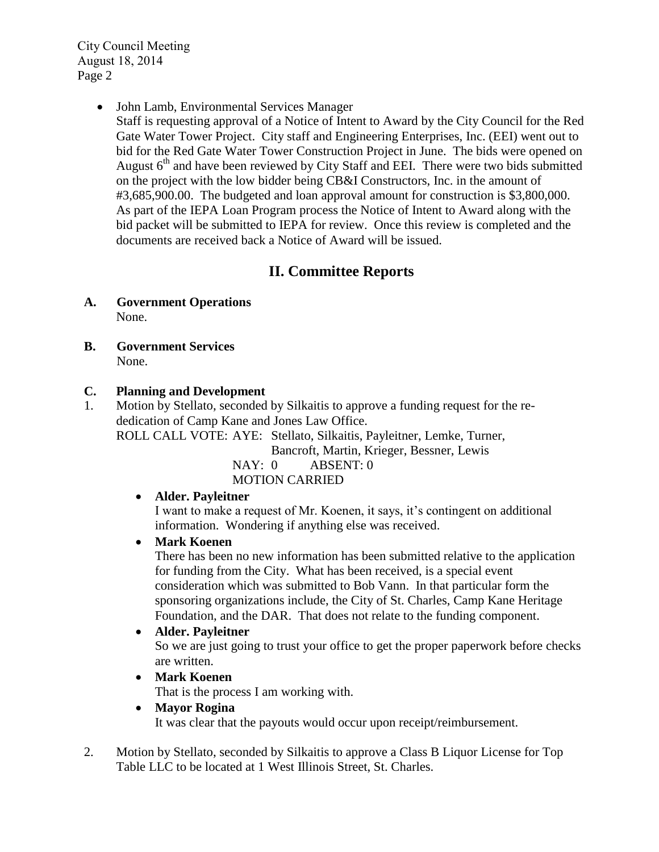City Council Meeting August 18, 2014 Page 2

John Lamb, Environmental Services Manager

Staff is requesting approval of a Notice of Intent to Award by the City Council for the Red Gate Water Tower Project. City staff and Engineering Enterprises, Inc. (EEI) went out to bid for the Red Gate Water Tower Construction Project in June. The bids were opened on August 6<sup>th</sup> and have been reviewed by City Staff and EEI. There were two bids submitted on the project with the low bidder being CB&I Constructors, Inc. in the amount of #3,685,900.00. The budgeted and loan approval amount for construction is \$3,800,000. As part of the IEPA Loan Program process the Notice of Intent to Award along with the bid packet will be submitted to IEPA for review. Once this review is completed and the documents are received back a Notice of Award will be issued.

# **II. Committee Reports**

- **A. Government Operations** None.
- **B. Government Services** None.

## **C. Planning and Development**

 1. Motion by Stellato, seconded by Silkaitis to approve a funding request for the rededication of Camp Kane and Jones Law Office. ROLL CALL VOTE: AYE: Stellato, Silkaitis, Payleitner, Lemke, Turner,

Bancroft, Martin, Krieger, Bessner, Lewis

NAY: 0 ABSENT: 0 MOTION CARRIED

## **Alder. Payleitner**

I want to make a request of Mr. Koenen, it says, it's contingent on additional information. Wondering if anything else was received.

## **Mark Koenen**

There has been no new information has been submitted relative to the application for funding from the City. What has been received, is a special event consideration which was submitted to Bob Vann. In that particular form the sponsoring organizations include, the City of St. Charles, Camp Kane Heritage Foundation, and the DAR. That does not relate to the funding component.

**Alder. Payleitner**

So we are just going to trust your office to get the proper paperwork before checks are written.

**Mark Koenen**

That is the process I am working with.

- **Mayor Rogina** It was clear that the payouts would occur upon receipt/reimbursement.
- 2. Motion by Stellato, seconded by Silkaitis to approve a Class B Liquor License for Top Table LLC to be located at 1 West Illinois Street, St. Charles.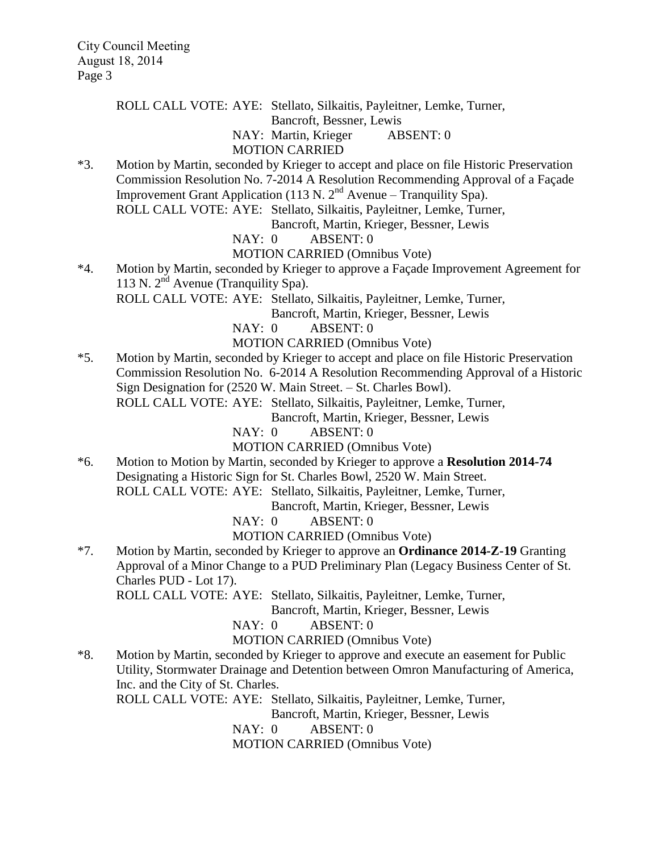ROLL CALL VOTE: AYE: Stellato, Silkaitis, Payleitner, Lemke, Turner,

Bancroft, Bessner, Lewis

NAY: Martin, Krieger ABSENT: 0

#### MOTION CARRIED

\*3. Motion by Martin, seconded by Krieger to accept and place on file Historic Preservation Commission Resolution No. 7-2014 A Resolution Recommending Approval of a Façade Improvement Grant Application (113 N.  $2<sup>nd</sup>$  Avenue – Tranquility Spa). ROLL CALL VOTE: AYE: Stellato, Silkaitis, Payleitner, Lemke, Turner,

Bancroft, Martin, Krieger, Bessner, Lewis

NAY: 0 ABSENT: 0 MOTION CARRIED (Omnibus Vote)

\*4. Motion by Martin, seconded by Krieger to approve a Façade Improvement Agreement for 113 N.  $2<sup>nd</sup>$  Avenue (Tranquility Spa).

ROLL CALL VOTE: AYE: Stellato, Silkaitis, Payleitner, Lemke, Turner,

Bancroft, Martin, Krieger, Bessner, Lewis

NAY: 0 ABSENT: 0

MOTION CARRIED (Omnibus Vote)

\*5. Motion by Martin, seconded by Krieger to accept and place on file Historic Preservation Commission Resolution No. 6-2014 A Resolution Recommending Approval of a Historic Sign Designation for (2520 W. Main Street. – St. Charles Bowl). ROLL CALL VOTE: AYE: Stellato, Silkaitis, Payleitner, Lemke, Turner,

Bancroft, Martin, Krieger, Bessner, Lewis

NAY: 0 ABSENT: 0

MOTION CARRIED (Omnibus Vote)

\*6. Motion to Motion by Martin, seconded by Krieger to approve a **Resolution 2014-74** Designating a Historic Sign for St. Charles Bowl, 2520 W. Main Street. ROLL CALL VOTE: AYE: Stellato, Silkaitis, Payleitner, Lemke, Turner,

Bancroft, Martin, Krieger, Bessner, Lewis

NAY: 0 ABSENT: 0

MOTION CARRIED (Omnibus Vote)

\*7. Motion by Martin, seconded by Krieger to approve an **Ordinance 2014-Z-19** Granting Approval of a Minor Change to a PUD Preliminary Plan (Legacy Business Center of St. Charles PUD - Lot 17).

ROLL CALL VOTE: AYE: Stellato, Silkaitis, Payleitner, Lemke, Turner,

Bancroft, Martin, Krieger, Bessner, Lewis

NAY: 0 ABSENT: 0

MOTION CARRIED (Omnibus Vote)

\*8. Motion by Martin, seconded by Krieger to approve and execute an easement for Public Utility, Stormwater Drainage and Detention between Omron Manufacturing of America, Inc. and the City of St. Charles.

ROLL CALL VOTE: AYE: Stellato, Silkaitis, Payleitner, Lemke, Turner,

Bancroft, Martin, Krieger, Bessner, Lewis

NAY: 0 ABSENT: 0

MOTION CARRIED (Omnibus Vote)